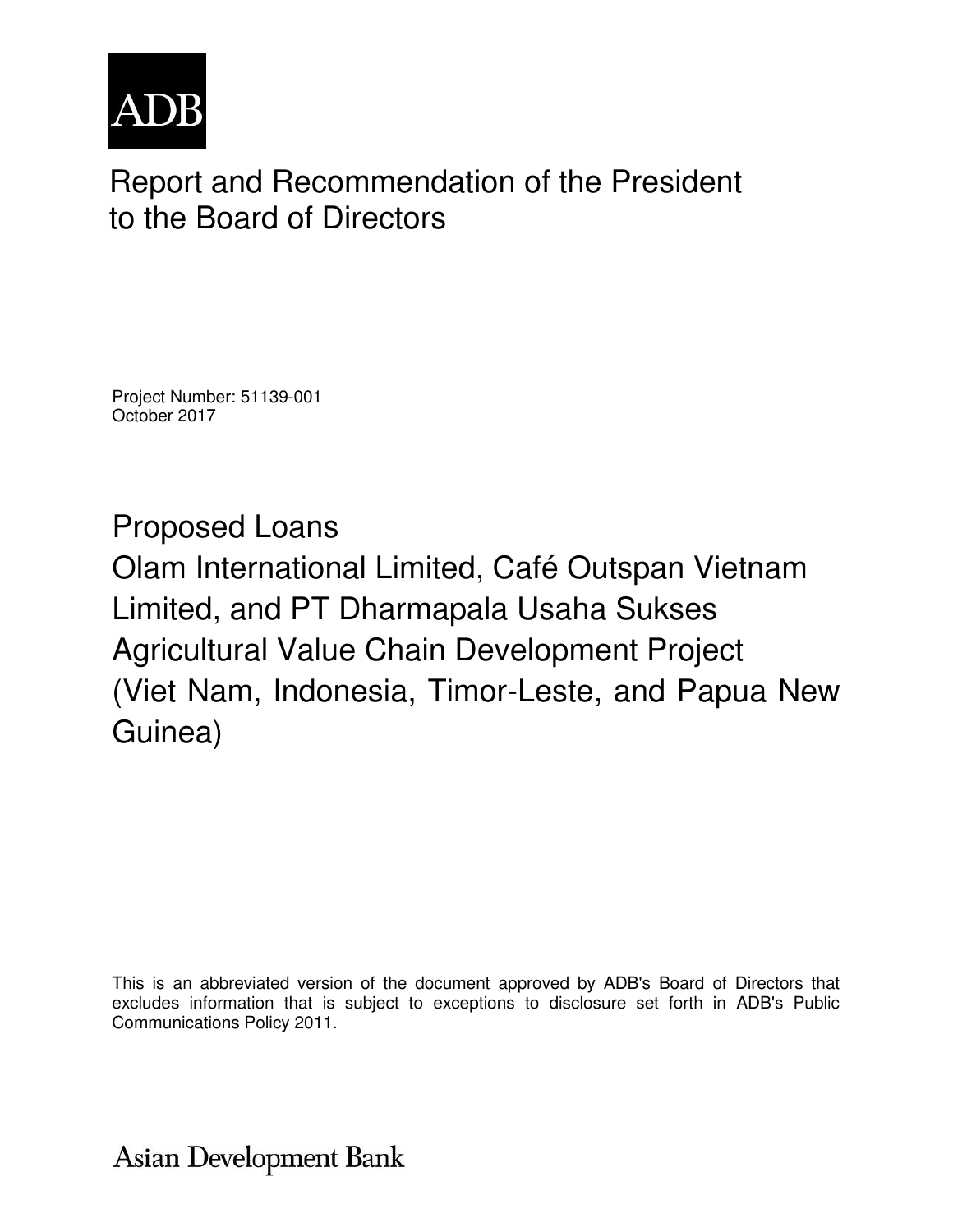

# Report and Recommendation of the President to the Board of Directors

Project Number: 51139-001 October 2017

Proposed Loans Olam International Limited, Café Outspan Vietnam Limited, and PT Dharmapala Usaha Sukses Agricultural Value Chain Development Project (Viet Nam, Indonesia, Timor-Leste, and Papua New Guinea)

This is an abbreviated version of the document approved by ADB's Board of Directors that excludes information that is subject to exceptions to disclosure set forth in ADB's Public Communications Policy 2011.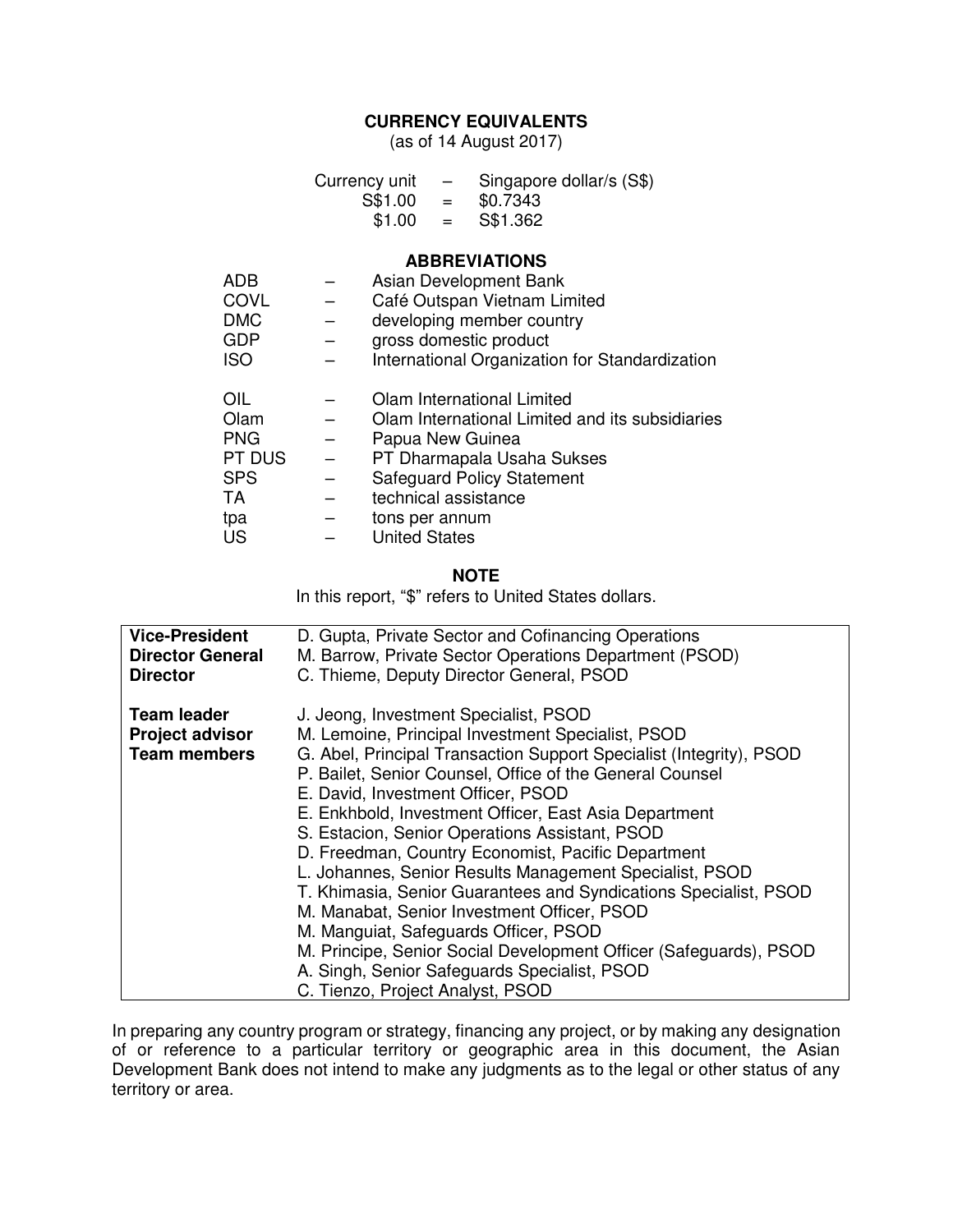## **CURRENCY EQUIVALENTS**

(as of 14 August 2017)

|            | Currency unit<br>$S$1.00 =$<br>$$1.00 =$ | $\qquad \qquad -$ | Singapore dollar/s (S\$)<br>\$0.7343<br>S\$1.362 |
|------------|------------------------------------------|-------------------|--------------------------------------------------|
|            |                                          |                   | <b>ABBREVIATIONS</b>                             |
| ADB        |                                          |                   | Asian Development Bank                           |
| COVL       |                                          |                   | Café Outspan Vietnam Limited                     |
| <b>DMC</b> |                                          |                   | developing member country                        |
| GDP        |                                          |                   | gross domestic product                           |
| <b>ISO</b> |                                          |                   | International Organization for Standardization   |
| OIL        |                                          |                   | Olam International Limited                       |
| Olam       |                                          |                   | Olam International Limited and its subsidiaries  |
| <b>PNG</b> | Papua New Guinea                         |                   |                                                  |
| PT DUS     |                                          |                   | PT Dharmapala Usaha Sukses                       |
| <b>SPS</b> |                                          |                   | <b>Safeguard Policy Statement</b>                |
| TA         | technical assistance                     |                   |                                                  |
| tpa        | tons per annum                           |                   |                                                  |
| US         | <b>United States</b>                     |                   |                                                  |

#### **NOTE**

In this report, "\$" refers to United States dollars.

| <b>Vice-President</b>                                               | D. Gupta, Private Sector and Cofinancing Operations                                                                                                                                                                                                                                                                                                                                                                                                                                                                                                                                                                                                                                                                                                                                                                  |
|---------------------------------------------------------------------|----------------------------------------------------------------------------------------------------------------------------------------------------------------------------------------------------------------------------------------------------------------------------------------------------------------------------------------------------------------------------------------------------------------------------------------------------------------------------------------------------------------------------------------------------------------------------------------------------------------------------------------------------------------------------------------------------------------------------------------------------------------------------------------------------------------------|
| <b>Director General</b>                                             | M. Barrow, Private Sector Operations Department (PSOD)                                                                                                                                                                                                                                                                                                                                                                                                                                                                                                                                                                                                                                                                                                                                                               |
| <b>Director</b>                                                     | C. Thieme, Deputy Director General, PSOD                                                                                                                                                                                                                                                                                                                                                                                                                                                                                                                                                                                                                                                                                                                                                                             |
| <b>Team leader</b><br><b>Project advisor</b><br><b>Team members</b> | J. Jeong, Investment Specialist, PSOD<br>M. Lemoine, Principal Investment Specialist, PSOD<br>G. Abel, Principal Transaction Support Specialist (Integrity), PSOD<br>P. Bailet, Senior Counsel, Office of the General Counsel<br>E. David, Investment Officer, PSOD<br>E. Enkhbold, Investment Officer, East Asia Department<br>S. Estacion, Senior Operations Assistant, PSOD<br>D. Freedman, Country Economist, Pacific Department<br>L. Johannes, Senior Results Management Specialist, PSOD<br>T. Khimasia, Senior Guarantees and Syndications Specialist, PSOD<br>M. Manabat, Senior Investment Officer, PSOD<br>M. Manguiat, Safeguards Officer, PSOD<br>M. Principe, Senior Social Development Officer (Safeguards), PSOD<br>A. Singh, Senior Safeguards Specialist, PSOD<br>C. Tienzo, Project Analyst, PSOD |

In preparing any country program or strategy, financing any project, or by making any designation of or reference to a particular territory or geographic area in this document, the Asian Development Bank does not intend to make any judgments as to the legal or other status of any territory or area.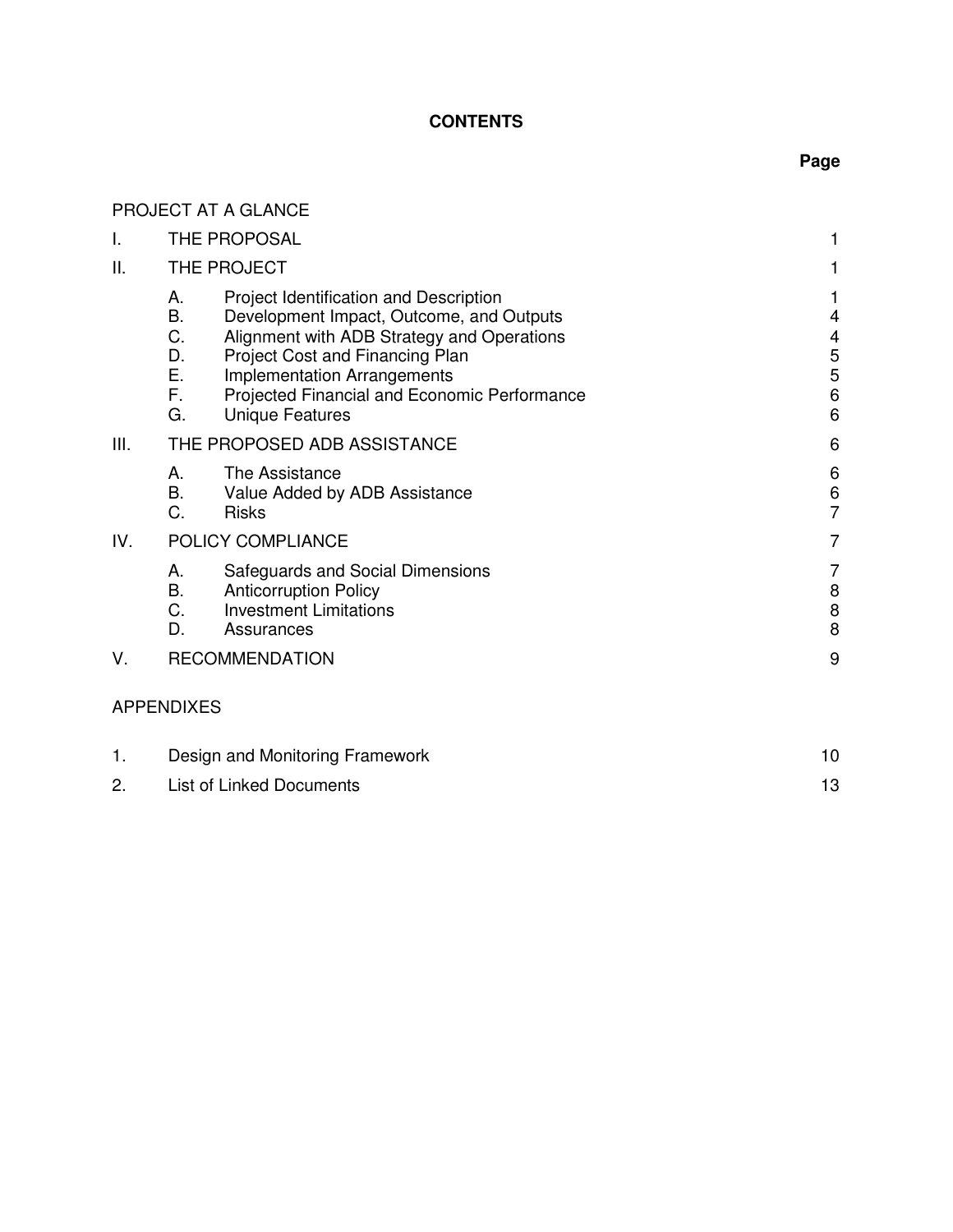# **CONTENTS**

# **Page**

|     | PROJECT AT A GLANCE                                                                                                                                                                                                                                                                                                           |                                               |  |  |
|-----|-------------------------------------------------------------------------------------------------------------------------------------------------------------------------------------------------------------------------------------------------------------------------------------------------------------------------------|-----------------------------------------------|--|--|
| I.  | THE PROPOSAL                                                                                                                                                                                                                                                                                                                  | 1                                             |  |  |
| ΙΙ. | THE PROJECT                                                                                                                                                                                                                                                                                                                   | 1                                             |  |  |
|     | Project Identification and Description<br>А.<br>Β.<br>Development Impact, Outcome, and Outputs<br>C.<br>Alignment with ADB Strategy and Operations<br>D.<br>Project Cost and Financing Plan<br>Ε.<br><b>Implementation Arrangements</b><br>F.<br>Projected Financial and Economic Performance<br>G.<br><b>Unique Features</b> | 1<br>4<br>4<br>5<br>5<br>$6\phantom{1}6$<br>6 |  |  |
| Ш.  | THE PROPOSED ADB ASSISTANCE                                                                                                                                                                                                                                                                                                   | 6                                             |  |  |
|     | А.<br>The Assistance<br>B.<br>Value Added by ADB Assistance<br>C.<br><b>Risks</b>                                                                                                                                                                                                                                             | 6<br>$\,6$<br>$\overline{7}$                  |  |  |
| IV. | POLICY COMPLIANCE                                                                                                                                                                                                                                                                                                             | 7                                             |  |  |
|     | А.<br>Safeguards and Social Dimensions<br><b>B.</b><br><b>Anticorruption Policy</b><br>C.<br><b>Investment Limitations</b><br>D.<br>Assurances                                                                                                                                                                                | 7<br>8<br>$\bf 8$<br>8                        |  |  |
| V.  | <b>RECOMMENDATION</b>                                                                                                                                                                                                                                                                                                         |                                               |  |  |
|     | <b>APPENDIXES</b>                                                                                                                                                                                                                                                                                                             |                                               |  |  |
| 1.  | 10<br>Design and Monitoring Framework                                                                                                                                                                                                                                                                                         |                                               |  |  |
| 2.  | <b>List of Linked Documents</b>                                                                                                                                                                                                                                                                                               |                                               |  |  |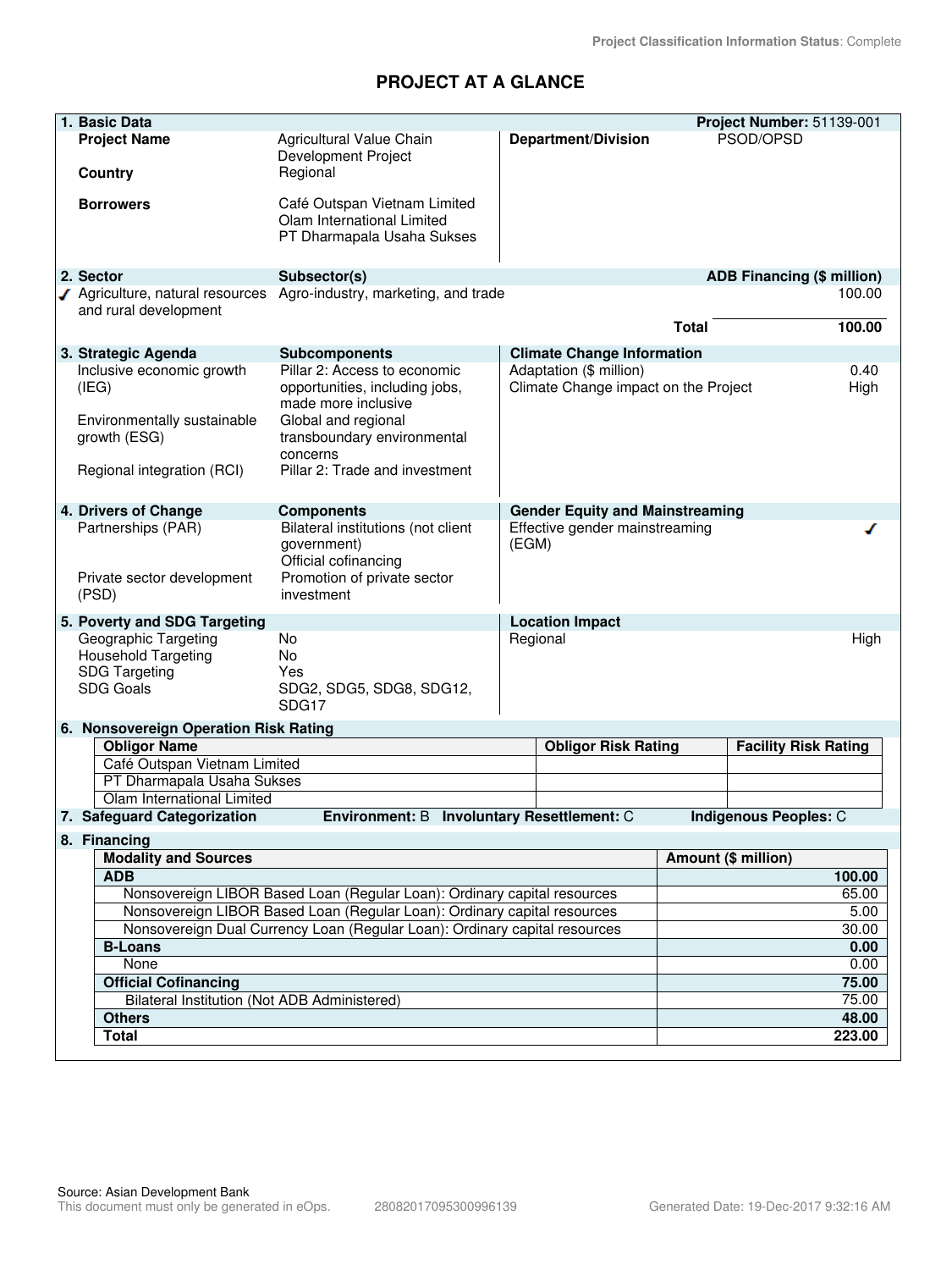# **PROJECT AT A GLANCE**

|                                                                                                                                                                      | 1. Basic Data                                                                                                                                        |                                                                                                                                                                                           |                                         |                                                                 |              | Project Number: 51139-001         |  |
|----------------------------------------------------------------------------------------------------------------------------------------------------------------------|------------------------------------------------------------------------------------------------------------------------------------------------------|-------------------------------------------------------------------------------------------------------------------------------------------------------------------------------------------|-----------------------------------------|-----------------------------------------------------------------|--------------|-----------------------------------|--|
|                                                                                                                                                                      | <b>Project Name</b><br>Agricultural Value Chain<br>Development Project<br>Regional<br><b>Country</b>                                                 |                                                                                                                                                                                           |                                         | <b>Department/Division</b>                                      |              | PSOD/OPSD                         |  |
|                                                                                                                                                                      | <b>Borrowers</b>                                                                                                                                     | Café Outspan Vietnam Limited<br>Olam International Limited<br>PT Dharmapala Usaha Sukses                                                                                                  |                                         |                                                                 |              |                                   |  |
|                                                                                                                                                                      | 2. Sector                                                                                                                                            | Subsector(s)                                                                                                                                                                              |                                         |                                                                 |              | <b>ADB Financing (\$ million)</b> |  |
|                                                                                                                                                                      | √ Agriculture, natural resources<br>and rural development                                                                                            | Agro-industry, marketing, and trade                                                                                                                                                       |                                         |                                                                 | <b>Total</b> | 100.00<br>100.00                  |  |
|                                                                                                                                                                      |                                                                                                                                                      |                                                                                                                                                                                           |                                         |                                                                 |              |                                   |  |
|                                                                                                                                                                      | 3. Strategic Agenda                                                                                                                                  | <b>Subcomponents</b>                                                                                                                                                                      |                                         | <b>Climate Change Information</b>                               |              |                                   |  |
|                                                                                                                                                                      | Inclusive economic growth<br>(IEG)<br>Environmentally sustainable<br>growth (ESG)<br>Regional integration (RCI)                                      | Pillar 2: Access to economic<br>opportunities, including jobs,<br>made more inclusive<br>Global and regional<br>transboundary environmental<br>concerns<br>Pillar 2: Trade and investment |                                         | Adaptation (\$ million)<br>Climate Change impact on the Project |              | 0.40<br>High                      |  |
|                                                                                                                                                                      | 4. Drivers of Change                                                                                                                                 | <b>Components</b>                                                                                                                                                                         | <b>Gender Equity and Mainstreaming</b>  |                                                                 |              |                                   |  |
| Partnerships (PAR)<br>Private sector development<br>(PSD)                                                                                                            |                                                                                                                                                      | Bilateral institutions (not client<br>government)<br>Official cofinancing<br>Promotion of private sector<br>investment                                                                    | Effective gender mainstreaming<br>(EGM) |                                                                 | ◢            |                                   |  |
|                                                                                                                                                                      | 5. Poverty and SDG Targeting                                                                                                                         |                                                                                                                                                                                           |                                         | <b>Location Impact</b>                                          |              |                                   |  |
| Geographic Targeting<br><b>No</b><br><b>Household Targeting</b><br><b>No</b><br><b>SDG Targeting</b><br>Yes<br><b>SDG Goals</b><br>SDG2, SDG5, SDG8, SDG12,<br>SDG17 |                                                                                                                                                      | Regional                                                                                                                                                                                  |                                         |                                                                 | High         |                                   |  |
|                                                                                                                                                                      | 6. Nonsovereign Operation Risk Rating                                                                                                                |                                                                                                                                                                                           |                                         |                                                                 |              |                                   |  |
|                                                                                                                                                                      | <b>Obligor Name</b>                                                                                                                                  |                                                                                                                                                                                           |                                         | <b>Obligor Risk Rating</b>                                      |              | <b>Facility Risk Rating</b>       |  |
|                                                                                                                                                                      | Café Outspan Vietnam Limited                                                                                                                         |                                                                                                                                                                                           |                                         |                                                                 |              |                                   |  |
|                                                                                                                                                                      | PT Dharmapala Usaha Sukses                                                                                                                           |                                                                                                                                                                                           |                                         |                                                                 |              |                                   |  |
|                                                                                                                                                                      | Olam International Limited                                                                                                                           |                                                                                                                                                                                           |                                         |                                                                 |              |                                   |  |
|                                                                                                                                                                      | 7. Safeguard Categorization<br>Environment: B Involuntary Resettlement: C<br>Indigenous Peoples: C                                                   |                                                                                                                                                                                           |                                         |                                                                 |              |                                   |  |
|                                                                                                                                                                      | 8. Financing                                                                                                                                         |                                                                                                                                                                                           |                                         |                                                                 |              |                                   |  |
| <b>Modality and Sources</b>                                                                                                                                          |                                                                                                                                                      |                                                                                                                                                                                           |                                         |                                                                 |              | Amount (\$ million)               |  |
| <b>ADB</b>                                                                                                                                                           |                                                                                                                                                      |                                                                                                                                                                                           |                                         |                                                                 |              | 100.00                            |  |
|                                                                                                                                                                      | Nonsovereign LIBOR Based Loan (Regular Loan): Ordinary capital resources<br>Nonsovereign LIBOR Based Loan (Regular Loan): Ordinary capital resources |                                                                                                                                                                                           |                                         |                                                                 |              | 65.00                             |  |
|                                                                                                                                                                      | Nonsovereign Dual Currency Loan (Regular Loan): Ordinary capital resources                                                                           |                                                                                                                                                                                           |                                         |                                                                 |              | 5.00                              |  |
|                                                                                                                                                                      | <b>B-Loans</b>                                                                                                                                       |                                                                                                                                                                                           |                                         |                                                                 |              | 30.00<br>0.00                     |  |
|                                                                                                                                                                      | None                                                                                                                                                 |                                                                                                                                                                                           |                                         |                                                                 |              | 0.00                              |  |
|                                                                                                                                                                      | <b>Official Cofinancing</b>                                                                                                                          |                                                                                                                                                                                           |                                         |                                                                 |              | 75.00                             |  |
|                                                                                                                                                                      | Bilateral Institution (Not ADB Administered)                                                                                                         |                                                                                                                                                                                           | 75.00                                   |                                                                 |              |                                   |  |
| <b>Others</b>                                                                                                                                                        |                                                                                                                                                      |                                                                                                                                                                                           |                                         |                                                                 |              | 48.00                             |  |
| <b>Total</b>                                                                                                                                                         |                                                                                                                                                      |                                                                                                                                                                                           |                                         |                                                                 |              | 223.00                            |  |
|                                                                                                                                                                      |                                                                                                                                                      |                                                                                                                                                                                           |                                         |                                                                 |              |                                   |  |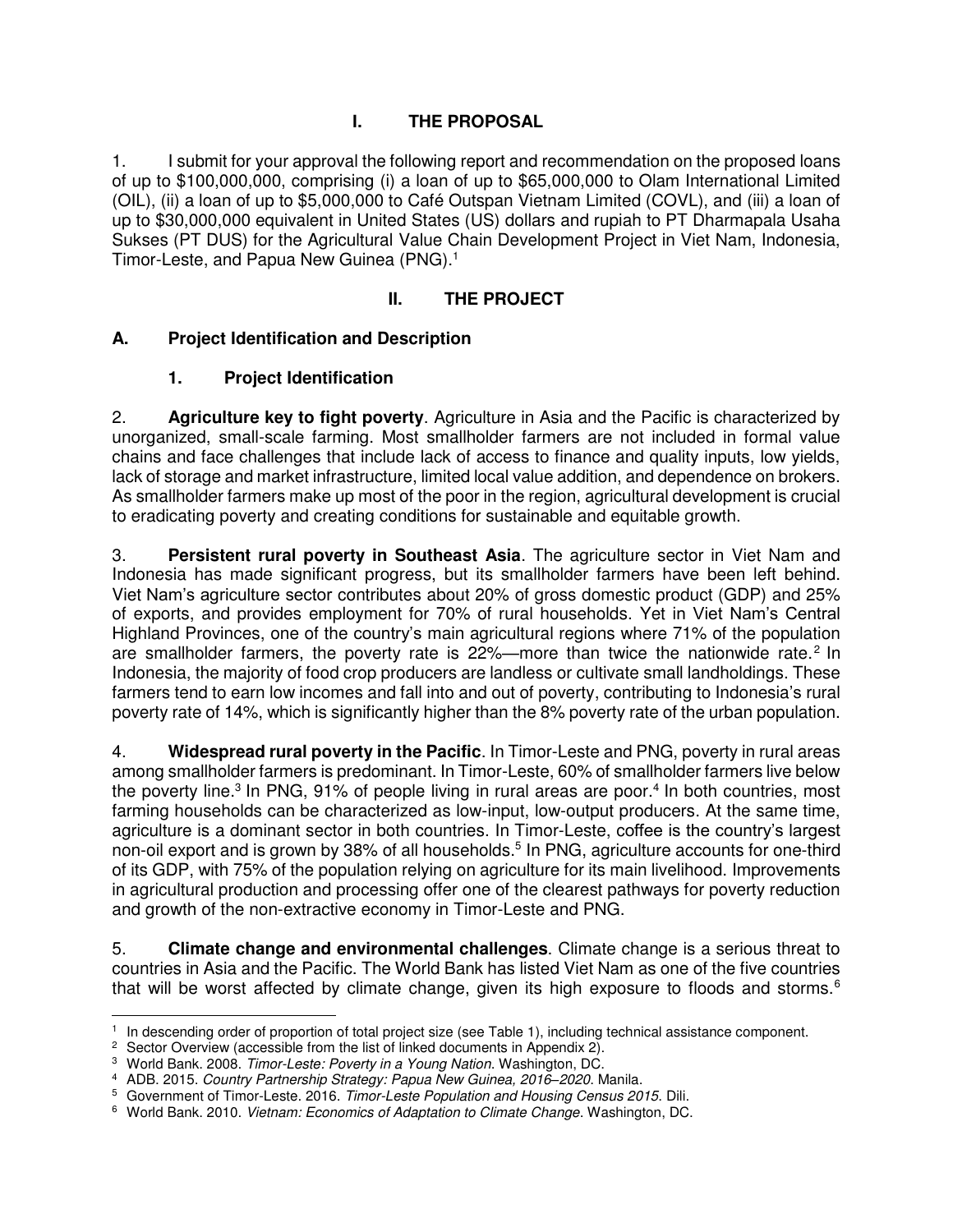#### **I. THE PROPOSAL**

1. I submit for your approval the following report and recommendation on the proposed loans of up to \$100,000,000, comprising (i) a loan of up to \$65,000,000 to Olam International Limited (OIL), (ii) a loan of up to \$5,000,000 to Café Outspan Vietnam Limited (COVL), and (iii) a loan of up to \$30,000,000 equivalent in United States (US) dollars and rupiah to PT Dharmapala Usaha Sukses (PT DUS) for the Agricultural Value Chain Development Project in Viet Nam, Indonesia, Timor-Leste, and Papua New Guinea (PNG).<sup>1</sup>

## **II. THE PROJECT**

#### **A. Project Identification and Description**

#### **1. Project Identification**

2. **Agriculture key to fight poverty**. Agriculture in Asia and the Pacific is characterized by unorganized, small-scale farming. Most smallholder farmers are not included in formal value chains and face challenges that include lack of access to finance and quality inputs, low yields, lack of storage and market infrastructure, limited local value addition, and dependence on brokers. As smallholder farmers make up most of the poor in the region, agricultural development is crucial to eradicating poverty and creating conditions for sustainable and equitable growth.

3. **Persistent rural poverty in Southeast Asia**. The agriculture sector in Viet Nam and Indonesia has made significant progress, but its smallholder farmers have been left behind. Viet Nam's agriculture sector contributes about 20% of gross domestic product (GDP) and 25% of exports, and provides employment for 70% of rural households. Yet in Viet Nam's Central Highland Provinces, one of the country's main agricultural regions where 71% of the population are smallholder farmers, the poverty rate is  $22\%$ —more than twice the nationwide rate.<sup>2</sup> In Indonesia, the majority of food crop producers are landless or cultivate small landholdings. These farmers tend to earn low incomes and fall into and out of poverty, contributing to Indonesia's rural poverty rate of 14%, which is significantly higher than the 8% poverty rate of the urban population.

4. **Widespread rural poverty in the Pacific**. In Timor-Leste and PNG, poverty in rural areas among smallholder farmers is predominant. In Timor-Leste, 60% of smallholder farmers live below the poverty line.<sup>3</sup> In PNG, 91% of people living in rural areas are poor.<sup>4</sup> In both countries, most farming households can be characterized as low-input, low-output producers. At the same time, agriculture is a dominant sector in both countries. In Timor-Leste, coffee is the country's largest non-oil export and is grown by 38% of all households.<sup>5</sup> In PNG, agriculture accounts for one-third of its GDP, with 75% of the population relying on agriculture for its main livelihood. Improvements in agricultural production and processing offer one of the clearest pathways for poverty reduction and growth of the non-extractive economy in Timor-Leste and PNG.

5. **Climate change and environmental challenges**. Climate change is a serious threat to countries in Asia and the Pacific. The World Bank has listed Viet Nam as one of the five countries that will be worst affected by climate change, given its high exposure to floods and storms.<sup>6</sup>

 1 In descending order of proportion of total project size (see Table 1), including technical assistance component.

<sup>&</sup>lt;sup>2</sup> Sector Overview (accessible from the list of linked documents in Appendix 2).

<sup>3</sup> World Bank. 2008. *Timor-Leste: Poverty in a Young Nation*. Washington, DC.

<sup>4</sup> ADB. 2015. *Country Partnership Strategy: Papua New Guinea, 2016–2020*. Manila.

<sup>5</sup> Government of Timor-Leste. 2016. *Timor-Leste Population and Housing Census 2015*. Dili.

<sup>6</sup> World Bank. 2010. *Vietnam: Economics of Adaptation to Climate Change*. Washington, DC.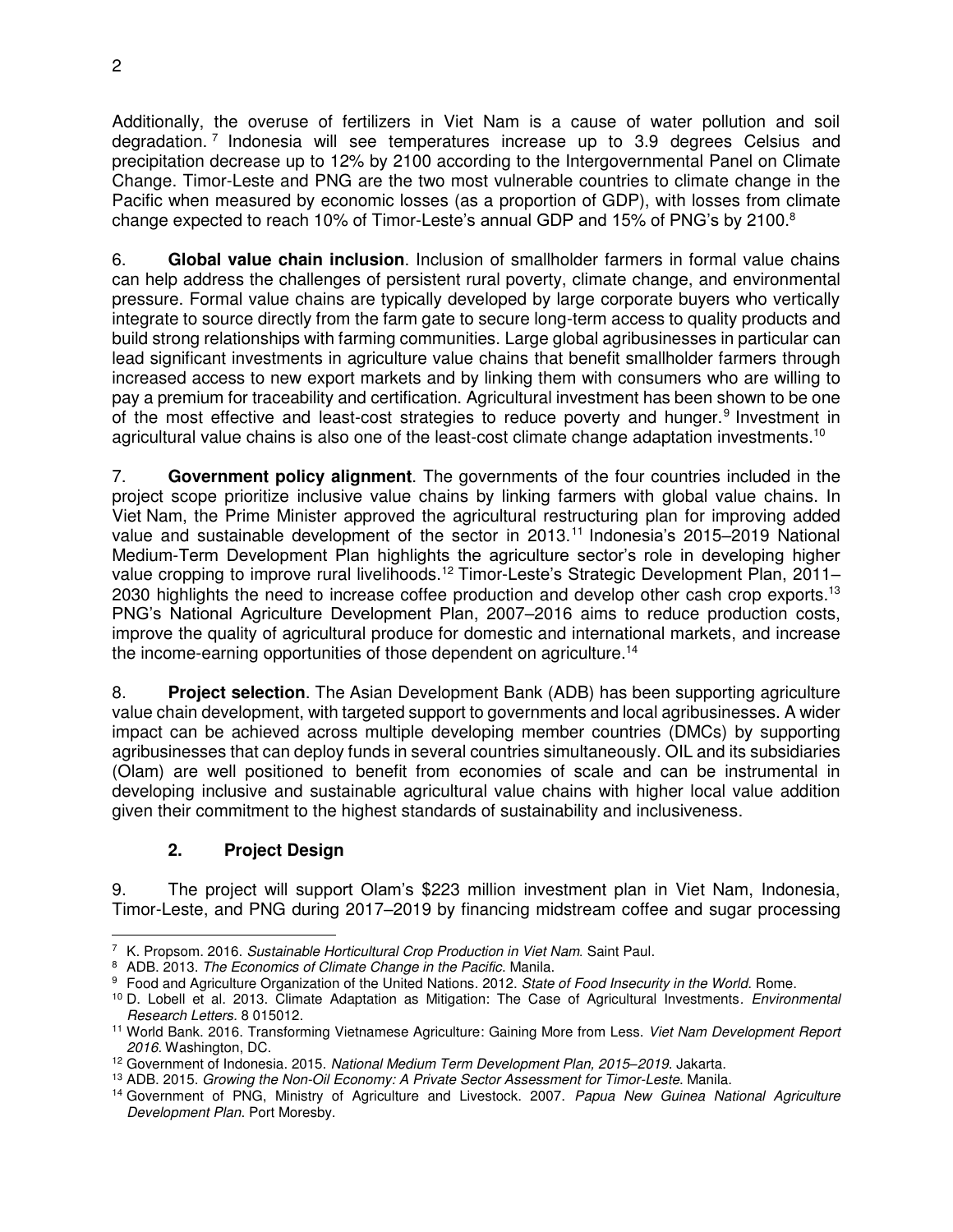Additionally, the overuse of fertilizers in Viet Nam is a cause of water pollution and soil degradation.<sup>7</sup> Indonesia will see temperatures increase up to 3.9 degrees Celsius and precipitation decrease up to 12% by 2100 according to the Intergovernmental Panel on Climate Change. Timor-Leste and PNG are the two most vulnerable countries to climate change in the Pacific when measured by economic losses (as a proportion of GDP), with losses from climate change expected to reach 10% of Timor-Leste's annual GDP and 15% of PNG's by 2100. $8$ 

6. **Global value chain inclusion**. Inclusion of smallholder farmers in formal value chains can help address the challenges of persistent rural poverty, climate change, and environmental pressure. Formal value chains are typically developed by large corporate buyers who vertically integrate to source directly from the farm gate to secure long-term access to quality products and build strong relationships with farming communities. Large global agribusinesses in particular can lead significant investments in agriculture value chains that benefit smallholder farmers through increased access to new export markets and by linking them with consumers who are willing to pay a premium for traceability and certification. Agricultural investment has been shown to be one of the most effective and least-cost strategies to reduce poverty and hunger.<sup>9</sup> Investment in agricultural value chains is also one of the least-cost climate change adaptation investments.<sup>10</sup>

7. **Government policy alignment**. The governments of the four countries included in the project scope prioritize inclusive value chains by linking farmers with global value chains. In Viet Nam, the Prime Minister approved the agricultural restructuring plan for improving added value and sustainable development of the sector in 2013.<sup>11</sup> Indonesia's 2015–2019 National Medium-Term Development Plan highlights the agriculture sector's role in developing higher value cropping to improve rural livelihoods.<sup>12</sup> Timor-Leste's Strategic Development Plan, 2011– 2030 highlights the need to increase coffee production and develop other cash crop exports.<sup>13</sup> PNG's National Agriculture Development Plan, 2007–2016 aims to reduce production costs, improve the quality of agricultural produce for domestic and international markets, and increase the income-earning opportunities of those dependent on agriculture.<sup>14</sup>

8. **Project selection**. The Asian Development Bank (ADB) has been supporting agriculture value chain development, with targeted support to governments and local agribusinesses. A wider impact can be achieved across multiple developing member countries (DMCs) by supporting agribusinesses that can deploy funds in several countries simultaneously. OIL and its subsidiaries (Olam) are well positioned to benefit from economies of scale and can be instrumental in developing inclusive and sustainable agricultural value chains with higher local value addition given their commitment to the highest standards of sustainability and inclusiveness.

# **2. Project Design**

9. The project will support Olam's \$223 million investment plan in Viet Nam, Indonesia, Timor-Leste, and PNG during 2017–2019 by financing midstream coffee and sugar processing

<sup>7</sup> K. Propsom. 2016. *Sustainable Horticultural Crop Production in Viet Nam.* Saint Paul.

<sup>8</sup> ADB. 2013. *The Economics of Climate Change in the Pacific*. Manila.

<sup>9</sup> Food and Agriculture Organization of the United Nations. 2012. *State of Food Insecurity in the World*. Rome.

<sup>10</sup> D. Lobell et al. 2013. Climate Adaptation as Mitigation: The Case of Agricultural Investments*. Environmental Research Letters.* 8 015012.

<sup>11</sup> World Bank. 2016. Transforming Vietnamese Agriculture: Gaining More from Less. *Viet Nam Development Report 2016.* Washington, DC.

<sup>12</sup> Government of Indonesia. 2015. *National Medium Term Development Plan, 2015–2019*. Jakarta.

<sup>13</sup> ADB. 2015. *Growing the Non-Oil Economy: A Private Sector Assessment for Timor-Leste*. Manila.

<sup>14</sup> Government of PNG, Ministry of Agriculture and Livestock. 2007. *Papua New Guinea National Agriculture Development Plan*. Port Moresby.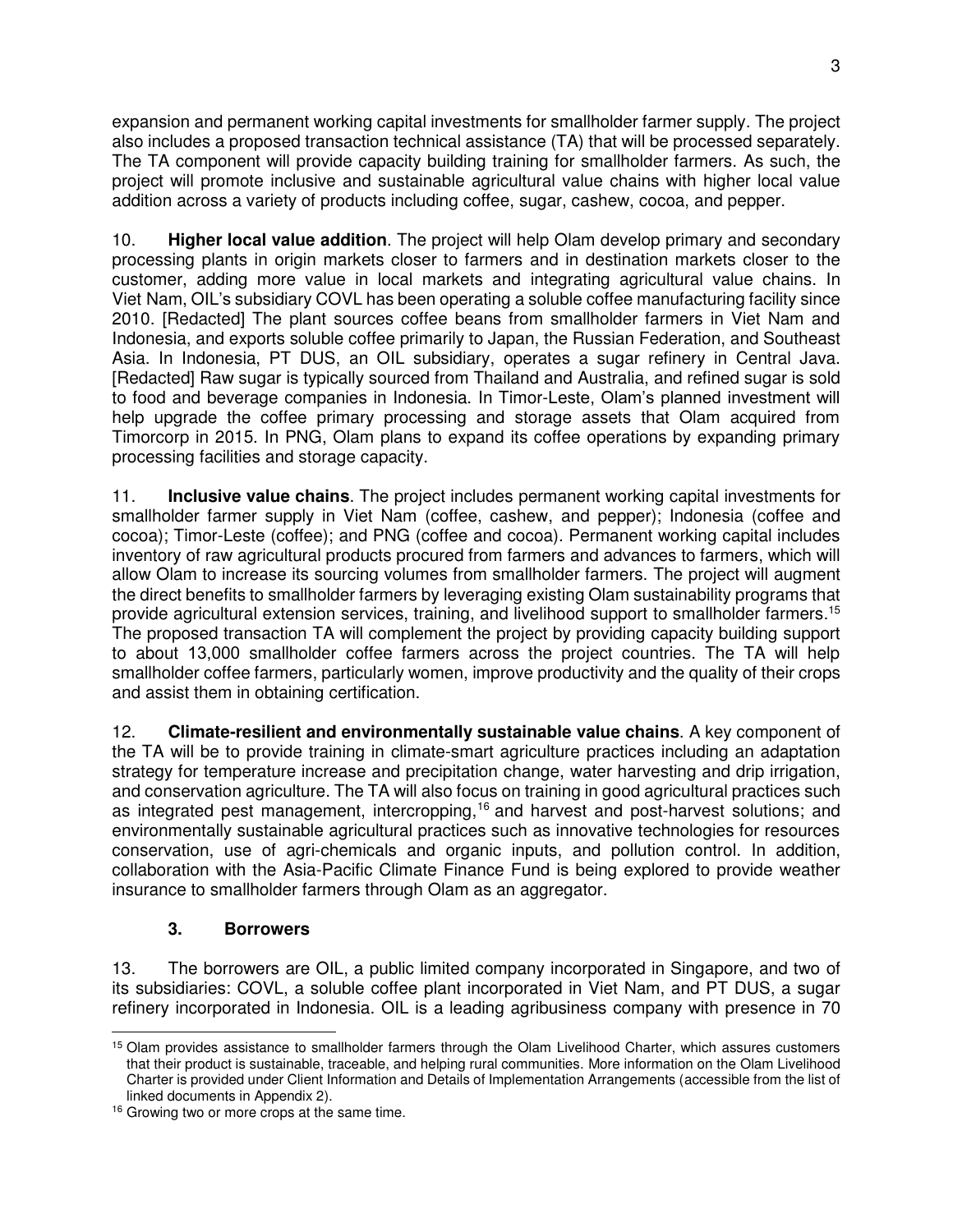expansion and permanent working capital investments for smallholder farmer supply. The project also includes a proposed transaction technical assistance (TA) that will be processed separately. The TA component will provide capacity building training for smallholder farmers. As such, the project will promote inclusive and sustainable agricultural value chains with higher local value addition across a variety of products including coffee, sugar, cashew, cocoa, and pepper.

10. **Higher local value addition**. The project will help Olam develop primary and secondary processing plants in origin markets closer to farmers and in destination markets closer to the customer, adding more value in local markets and integrating agricultural value chains. In Viet Nam, OIL's subsidiary COVL has been operating a soluble coffee manufacturing facility since 2010. [Redacted] The plant sources coffee beans from smallholder farmers in Viet Nam and Indonesia, and exports soluble coffee primarily to Japan, the Russian Federation, and Southeast Asia. In Indonesia, PT DUS, an OIL subsidiary, operates a sugar refinery in Central Java. [Redacted] Raw sugar is typically sourced from Thailand and Australia, and refined sugar is sold to food and beverage companies in Indonesia. In Timor-Leste, Olam's planned investment will help upgrade the coffee primary processing and storage assets that Olam acquired from Timorcorp in 2015. In PNG, Olam plans to expand its coffee operations by expanding primary processing facilities and storage capacity.

11. **Inclusive value chains**. The project includes permanent working capital investments for smallholder farmer supply in Viet Nam (coffee, cashew, and pepper); Indonesia (coffee and cocoa); Timor-Leste (coffee); and PNG (coffee and cocoa). Permanent working capital includes inventory of raw agricultural products procured from farmers and advances to farmers, which will allow Olam to increase its sourcing volumes from smallholder farmers. The project will augment the direct benefits to smallholder farmers by leveraging existing Olam sustainability programs that provide agricultural extension services, training, and livelihood support to smallholder farmers.<sup>15</sup> The proposed transaction TA will complement the project by providing capacity building support to about 13,000 smallholder coffee farmers across the project countries. The TA will help smallholder coffee farmers, particularly women, improve productivity and the quality of their crops and assist them in obtaining certification.

12. **Climate-resilient and environmentally sustainable value chains**. A key component of the TA will be to provide training in climate-smart agriculture practices including an adaptation strategy for temperature increase and precipitation change, water harvesting and drip irrigation, and conservation agriculture. The TA will also focus on training in good agricultural practices such as integrated pest management, intercropping,<sup>16</sup> and harvest and post-harvest solutions; and environmentally sustainable agricultural practices such as innovative technologies for resources conservation, use of agri-chemicals and organic inputs, and pollution control. In addition, collaboration with the Asia-Pacific Climate Finance Fund is being explored to provide weather insurance to smallholder farmers through Olam as an aggregator.

#### **3. Borrowers**

13. The borrowers are OIL, a public limited company incorporated in Singapore, and two of its subsidiaries: COVL, a soluble coffee plant incorporated in Viet Nam, and PT DUS, a sugar refinery incorporated in Indonesia. OIL is a leading agribusiness company with presence in 70

 $\overline{a}$ <sup>15</sup> Olam provides assistance to smallholder farmers through the Olam Livelihood Charter, which assures customers that their product is sustainable, traceable, and helping rural communities. More information on the Olam Livelihood Charter is provided under Client Information and Details of Implementation Arrangements (accessible from the list of linked documents in Appendix 2).

<sup>&</sup>lt;sup>16</sup> Growing two or more crops at the same time.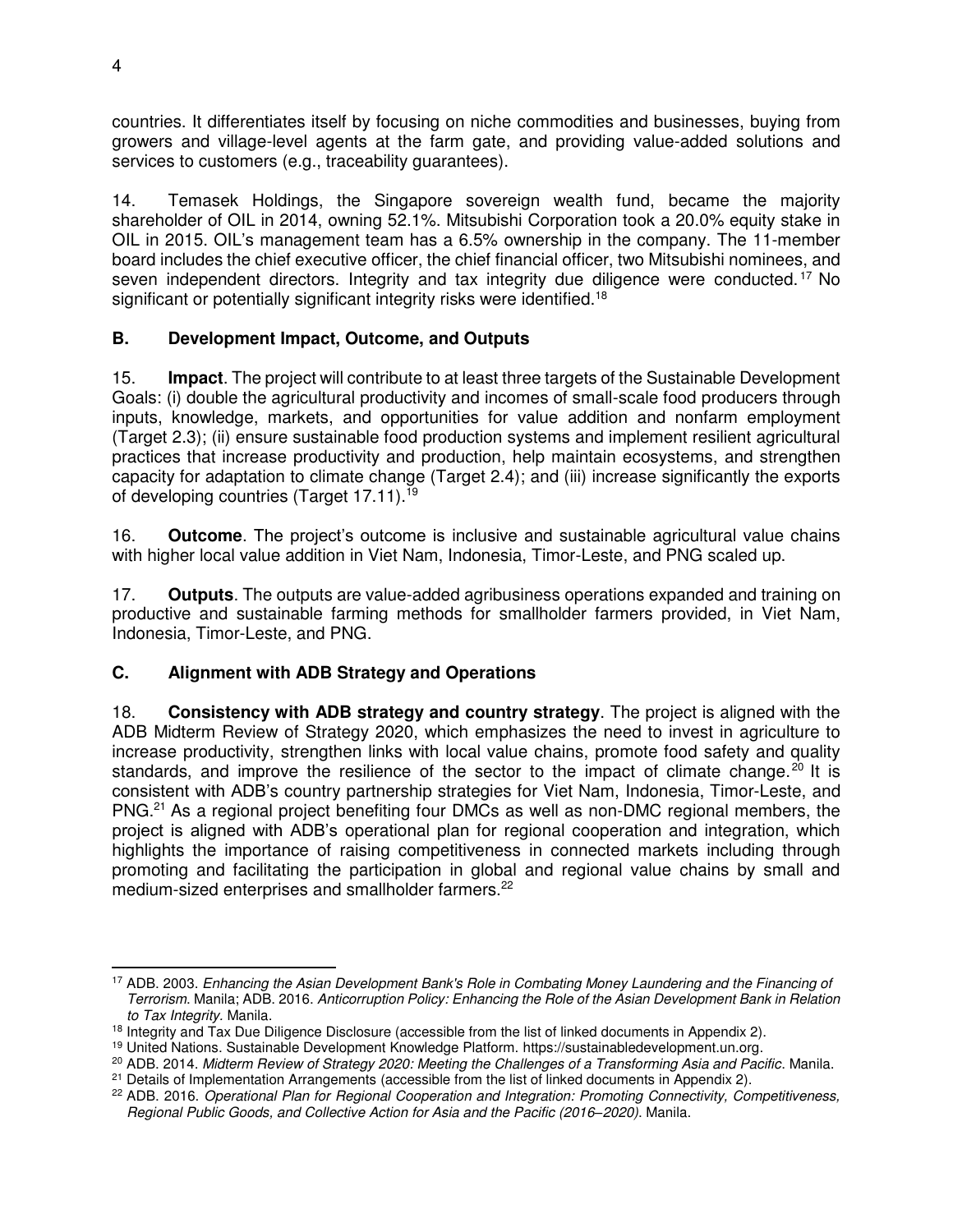countries. It differentiates itself by focusing on niche commodities and businesses, buying from growers and village-level agents at the farm gate, and providing value-added solutions and services to customers (e.g., traceability guarantees).

14. Temasek Holdings, the Singapore sovereign wealth fund, became the majority shareholder of OIL in 2014, owning 52.1%. Mitsubishi Corporation took a 20.0% equity stake in OIL in 2015. OIL's management team has a 6.5% ownership in the company. The 11-member board includes the chief executive officer, the chief financial officer, two Mitsubishi nominees, and seven independent directors. Integrity and tax integrity due diligence were conducted.<sup>17</sup> No significant or potentially significant integrity risks were identified.<sup>18</sup>

## **B. Development Impact, Outcome, and Outputs**

15. **Impact**. The project will contribute to at least three targets of the Sustainable Development Goals: (i) double the agricultural productivity and incomes of small-scale food producers through inputs, knowledge, markets, and opportunities for value addition and nonfarm employment (Target 2.3); (ii) ensure sustainable food production systems and implement resilient agricultural practices that increase productivity and production, help maintain ecosystems, and strengthen capacity for adaptation to climate change (Target 2.4); and (iii) increase significantly the exports of developing countries (Target 17.11).<sup>19</sup>

16. **Outcome**. The project's outcome is inclusive and sustainable agricultural value chains with higher local value addition in Viet Nam, Indonesia, Timor-Leste, and PNG scaled up.

17. **Outputs**. The outputs are value-added agribusiness operations expanded and training on productive and sustainable farming methods for smallholder farmers provided, in Viet Nam, Indonesia, Timor-Leste, and PNG.

#### **C. Alignment with ADB Strategy and Operations**

18. **Consistency with ADB strategy and country strategy**. The project is aligned with the ADB Midterm Review of Strategy 2020, which emphasizes the need to invest in agriculture to increase productivity, strengthen links with local value chains, promote food safety and quality standards, and improve the resilience of the sector to the impact of climate change.<sup>20</sup> It is consistent with ADB's country partnership strategies for Viet Nam, Indonesia, Timor-Leste, and PNG.<sup>21</sup> As a regional project benefiting four DMCs as well as non-DMC regional members, the project is aligned with ADB's operational plan for regional cooperation and integration, which highlights the importance of raising competitiveness in connected markets including through promoting and facilitating the participation in global and regional value chains by small and medium-sized enterprises and smallholder farmers.<sup>22</sup>

 $\overline{a}$ <sup>17</sup> ADB. 2003. *Enhancing the Asian Development Bank's Role in Combating Money Laundering and the Financing of Terrorism*. Manila; ADB. 2016. *Anticorruption Policy: Enhancing the Role of the Asian Development Bank in Relation to Tax Integrity.* Manila.

<sup>&</sup>lt;sup>18</sup> Integrity and Tax Due Diligence Disclosure (accessible from the list of linked documents in Appendix 2).

<sup>19</sup> United Nations. Sustainable Development Knowledge Platform. [https://sustainabledevelopment.un.org.](https://sustainabledevelopment.un.org/)

<sup>20</sup> ADB. 2014. *Midterm Review of Strategy 2020: Meeting the Challenges of a Transforming Asia and Pacific*. Manila.  $21$  Details of Implementation Arrangements (accessible from the list of linked documents in Appendix 2).

<sup>22</sup> ADB. 2016. *Operational Plan for Regional Cooperation and Integration: Promoting Connectivity, Competitiveness, Regional Public Goods, and Collective Action for Asia and the Pacific (2016–2020)*. Manila.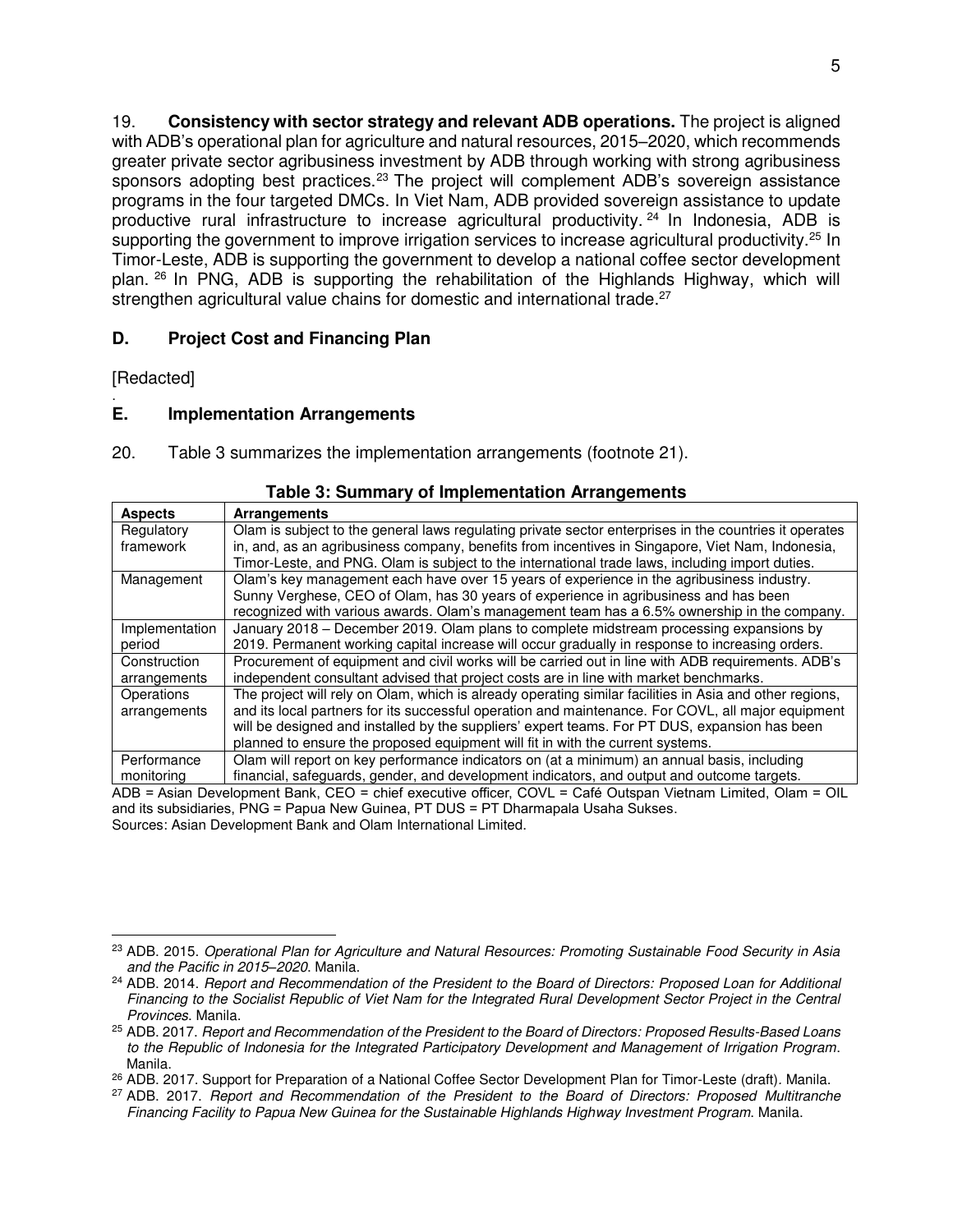19. **Consistency with sector strategy and relevant ADB operations.** The project is aligned with ADB's operational plan for agriculture and natural resources, 2015–2020, which recommends greater private sector agribusiness investment by ADB through working with strong agribusiness sponsors adopting best practices.<sup>23</sup> The project will complement ADB's sovereign assistance programs in the four targeted DMCs. In Viet Nam, ADB provided sovereign assistance to update productive rural infrastructure to increase agricultural productivity.  $24 \text{ In}$  Indonesia, ADB is supporting the government to improve irrigation services to increase agricultural productivity.<sup>25</sup> In Timor-Leste, ADB is supporting the government to develop a national coffee sector development plan. <sup>26</sup> In PNG, ADB is supporting the rehabilitation of the Highlands Highway, which will strengthen agricultural value chains for domestic and international trade.<sup>27</sup>

#### **D. Project Cost and Financing Plan**

[Redacted]

#### . **E. Implementation Arrangements**

20. Table 3 summarizes the implementation arrangements (footnote 21).

| <b>Aspects</b>                                                                                                | <b>Arrangements</b>                                                                                     |  |  |  |  |
|---------------------------------------------------------------------------------------------------------------|---------------------------------------------------------------------------------------------------------|--|--|--|--|
| Regulatory                                                                                                    | Olam is subject to the general laws regulating private sector enterprises in the countries it operates  |  |  |  |  |
| framework                                                                                                     | in, and, as an agribusiness company, benefits from incentives in Singapore, Viet Nam, Indonesia,        |  |  |  |  |
|                                                                                                               | Timor-Leste, and PNG. Olam is subject to the international trade laws, including import duties.         |  |  |  |  |
| Management                                                                                                    | Olam's key management each have over 15 years of experience in the agribusiness industry.               |  |  |  |  |
|                                                                                                               | Sunny Verghese, CEO of Olam, has 30 years of experience in agribusiness and has been                    |  |  |  |  |
|                                                                                                               | recognized with various awards. Olam's management team has a 6.5% ownership in the company.             |  |  |  |  |
| Implementation                                                                                                | January 2018 – December 2019. Olam plans to complete midstream processing expansions by                 |  |  |  |  |
| period                                                                                                        | 2019. Permanent working capital increase will occur gradually in response to increasing orders.         |  |  |  |  |
| Construction                                                                                                  | Procurement of equipment and civil works will be carried out in line with ADB requirements. ADB's       |  |  |  |  |
| arrangements                                                                                                  | independent consultant advised that project costs are in line with market benchmarks.                   |  |  |  |  |
| Operations                                                                                                    | The project will rely on Olam, which is already operating similar facilities in Asia and other regions, |  |  |  |  |
| arrangements                                                                                                  | and its local partners for its successful operation and maintenance. For COVL, all major equipment      |  |  |  |  |
|                                                                                                               | will be designed and installed by the suppliers' expert teams. For PT DUS, expansion has been           |  |  |  |  |
|                                                                                                               | planned to ensure the proposed equipment will fit in with the current systems.                          |  |  |  |  |
| Performance                                                                                                   | Olam will report on key performance indicators on (at a minimum) an annual basis, including             |  |  |  |  |
| monitoring                                                                                                    | financial, safeguards, gender, and development indicators, and output and outcome targets.              |  |  |  |  |
| $ADD - A$ gian Dauglapmant Dank CEO - shigt avocutive efficer COVI - Cetá Qutanon Victoren Limited Olam - Oll |                                                                                                         |  |  |  |  |

#### **Table 3: Summary of Implementation Arrangements**

ADB = Asian Development Bank, CEO = chief executive officer, COVL = Café Outspan Vietnam Limited, Olam = OIL and its subsidiaries, PNG = Papua New Guinea, PT DUS = PT Dharmapala Usaha Sukses. Sources: Asian Development Bank and Olam International Limited.

 <sup>23</sup> ADB. 2015. *Operational Plan for Agriculture and Natural Resources: Promoting Sustainable Food Security in Asia and the Pacific in 2015–2020*. Manila.

<sup>24</sup> ADB. 2014. *Report and Recommendation of the President to the Board of Directors: Proposed Loan for Additional Financing to the Socialist Republic of Viet Nam for the Integrated Rural Development Sector Project in the Central Provinces*. Manila.

<sup>25</sup> ADB. 2017. *Report and Recommendation of the President to the Board of Directors: Proposed Results-Based Loans to the Republic of Indonesia for the Integrated Participatory Development and Management of Irrigation Program*. Manila.

<sup>26</sup> ADB. 2017. Support for Preparation of a National Coffee Sector Development Plan for Timor-Leste (draft)*.* Manila.

<sup>27</sup> ADB. 2017. *Report and Recommendation of the President to the Board of Directors: Proposed Multitranche Financing Facility to Papua New Guinea for the Sustainable Highlands Highway Investment Program*. Manila.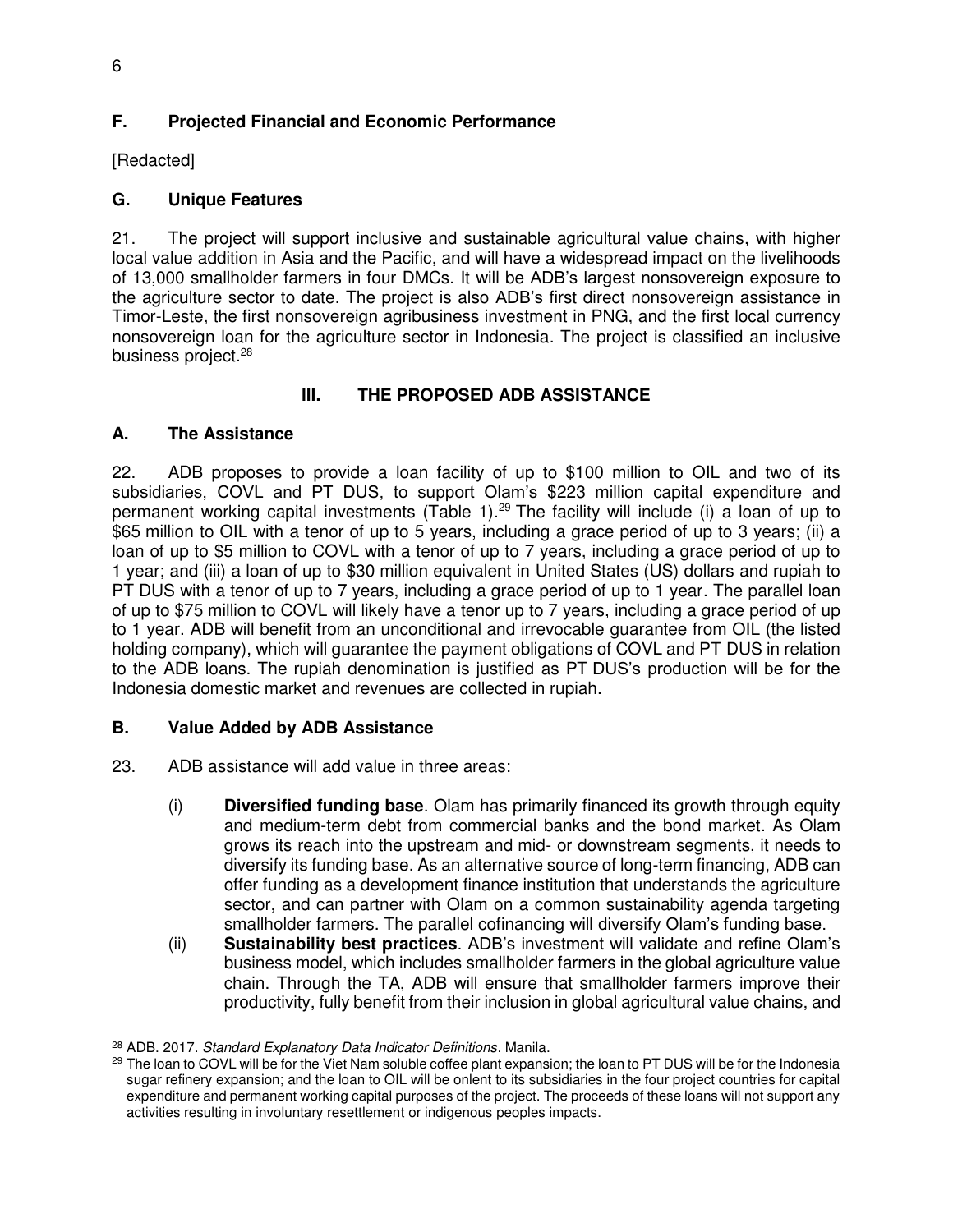## **F. Projected Financial and Economic Performance**

[Redacted]

## **G. Unique Features**

21. The project will support inclusive and sustainable agricultural value chains, with higher local value addition in Asia and the Pacific, and will have a widespread impact on the livelihoods of 13,000 smallholder farmers in four DMCs. It will be ADB's largest nonsovereign exposure to the agriculture sector to date. The project is also ADB's first direct nonsovereign assistance in Timor-Leste, the first nonsovereign agribusiness investment in PNG, and the first local currency nonsovereign loan for the agriculture sector in Indonesia. The project is classified an inclusive business project.<sup>28</sup>

## **III. THE PROPOSED ADB ASSISTANCE**

## **A. The Assistance**

22. ADB proposes to provide a loan facility of up to \$100 million to OIL and two of its subsidiaries, COVL and PT DUS, to support Olam's \$223 million capital expenditure and permanent working capital investments (Table 1).<sup>29</sup> The facility will include (i) a loan of up to \$65 million to OIL with a tenor of up to 5 years, including a grace period of up to 3 years; (ii) a loan of up to \$5 million to COVL with a tenor of up to 7 years, including a grace period of up to 1 year; and (iii) a loan of up to \$30 million equivalent in United States (US) dollars and rupiah to PT DUS with a tenor of up to 7 years, including a grace period of up to 1 year. The parallel loan of up to \$75 million to COVL will likely have a tenor up to 7 years, including a grace period of up to 1 year. ADB will benefit from an unconditional and irrevocable guarantee from OIL (the listed holding company), which will guarantee the payment obligations of COVL and PT DUS in relation to the ADB loans. The rupiah denomination is justified as PT DUS's production will be for the Indonesia domestic market and revenues are collected in rupiah.

#### **B. Value Added by ADB Assistance**

- 23. ADB assistance will add value in three areas:
	- (i) **Diversified funding base**. Olam has primarily financed its growth through equity and medium-term debt from commercial banks and the bond market. As Olam grows its reach into the upstream and mid- or downstream segments, it needs to diversify its funding base. As an alternative source of long-term financing, ADB can offer funding as a development finance institution that understands the agriculture sector, and can partner with Olam on a common sustainability agenda targeting smallholder farmers. The parallel cofinancing will diversify Olam's funding base.
	- (ii) **Sustainability best practices**. ADB's investment will validate and refine Olam's business model, which includes smallholder farmers in the global agriculture value chain. Through the TA, ADB will ensure that smallholder farmers improve their productivity, fully benefit from their inclusion in global agricultural value chains, and

 $\overline{a}$ <sup>28</sup> ADB. 2017. *Standard Explanatory Data Indicator Definitions*. Manila.

<sup>&</sup>lt;sup>29</sup> The loan to COVL will be for the Viet Nam soluble coffee plant expansion; the loan to PT DUS will be for the Indonesia sugar refinery expansion; and the loan to OIL will be onlent to its subsidiaries in the four project countries for capital expenditure and permanent working capital purposes of the project. The proceeds of these loans will not support any activities resulting in involuntary resettlement or indigenous peoples impacts.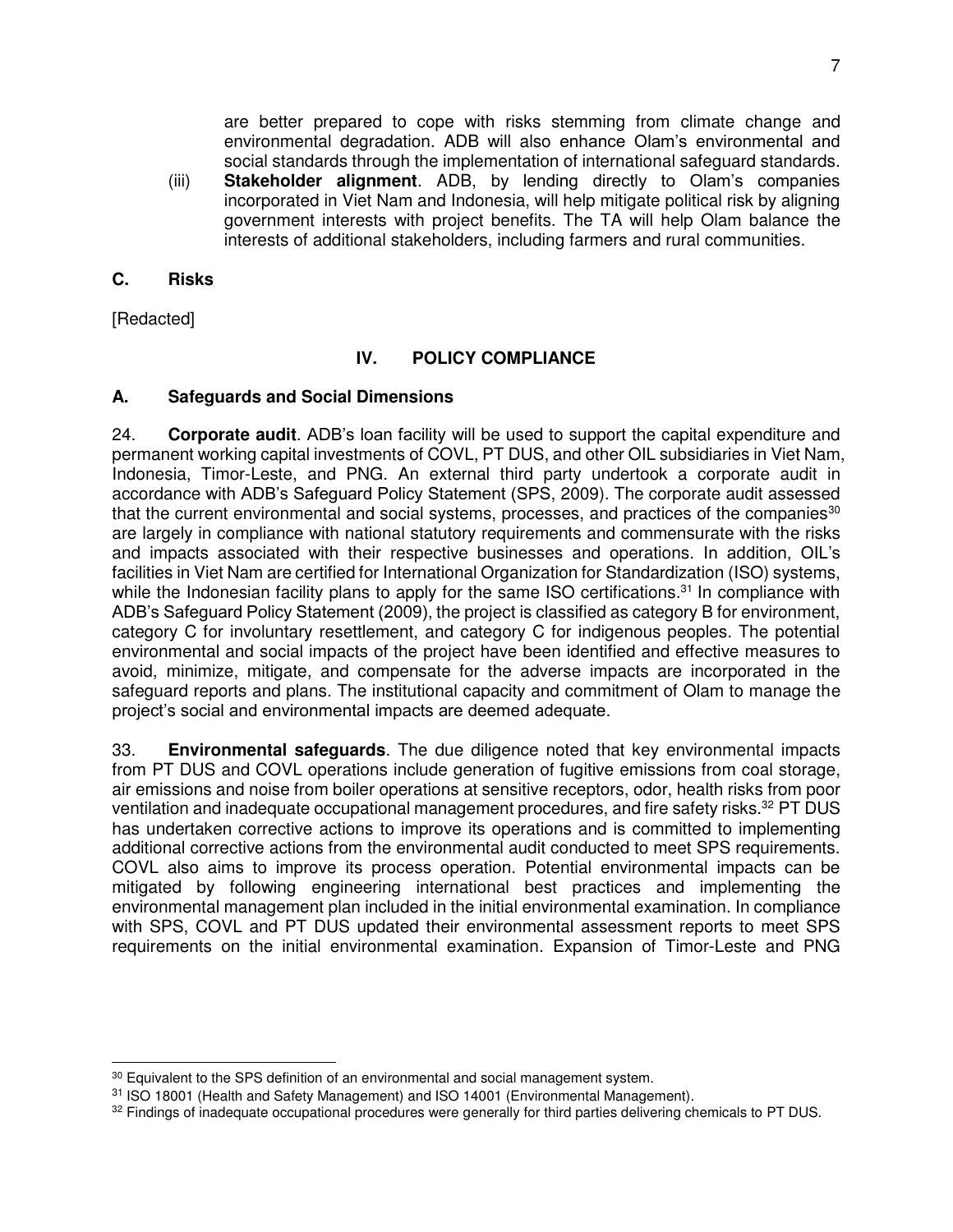are better prepared to cope with risks stemming from climate change and environmental degradation. ADB will also enhance Olam's environmental and social standards through the implementation of international safeguard standards.

(iii) **Stakeholder alignment**. ADB, by lending directly to Olam's companies incorporated in Viet Nam and Indonesia, will help mitigate political risk by aligning government interests with project benefits. The TA will help Olam balance the interests of additional stakeholders, including farmers and rural communities.

#### **C. Risks**

[Redacted]

#### **IV. POLICY COMPLIANCE**

#### **A. Safeguards and Social Dimensions**

24. **Corporate audit**. ADB's loan facility will be used to support the capital expenditure and permanent working capital investments of COVL, PT DUS, and other OIL subsidiaries in Viet Nam, Indonesia, Timor-Leste, and PNG. An external third party undertook a corporate audit in accordance with ADB's Safeguard Policy Statement (SPS, 2009). The corporate audit assessed that the current environmental and social systems, processes, and practices of the companies<sup>30</sup> are largely in compliance with national statutory requirements and commensurate with the risks and impacts associated with their respective businesses and operations. In addition, OIL's facilities in Viet Nam are certified for International Organization for Standardization (ISO) systems, while the Indonesian facility plans to apply for the same ISO certifications.<sup>31</sup> In compliance with ADB's Safeguard Policy Statement (2009), the project is classified as category B for environment, category C for involuntary resettlement, and category C for indigenous peoples. The potential environmental and social impacts of the project have been identified and effective measures to avoid, minimize, mitigate, and compensate for the adverse impacts are incorporated in the safeguard reports and plans. The institutional capacity and commitment of Olam to manage the project's social and environmental impacts are deemed adequate.

33. **Environmental safeguards**. The due diligence noted that key environmental impacts from PT DUS and COVL operations include generation of fugitive emissions from coal storage, air emissions and noise from boiler operations at sensitive receptors, odor, health risks from poor ventilation and inadequate occupational management procedures, and fire safety risks.<sup>32</sup> PT DUS has undertaken corrective actions to improve its operations and is committed to implementing additional corrective actions from the environmental audit conducted to meet SPS requirements. COVL also aims to improve its process operation. Potential environmental impacts can be mitigated by following engineering international best practices and implementing the environmental management plan included in the initial environmental examination. In compliance with SPS, COVL and PT DUS updated their environmental assessment reports to meet SPS requirements on the initial environmental examination. Expansion of Timor-Leste and PNG

 $\overline{a}$ <sup>30</sup> Equivalent to the SPS definition of an environmental and social management system.

<sup>31</sup> ISO 18001 (Health and Safety Management) and ISO 14001 (Environmental Management).

<sup>32</sup> Findings of inadequate occupational procedures were generally for third parties delivering chemicals to PT DUS.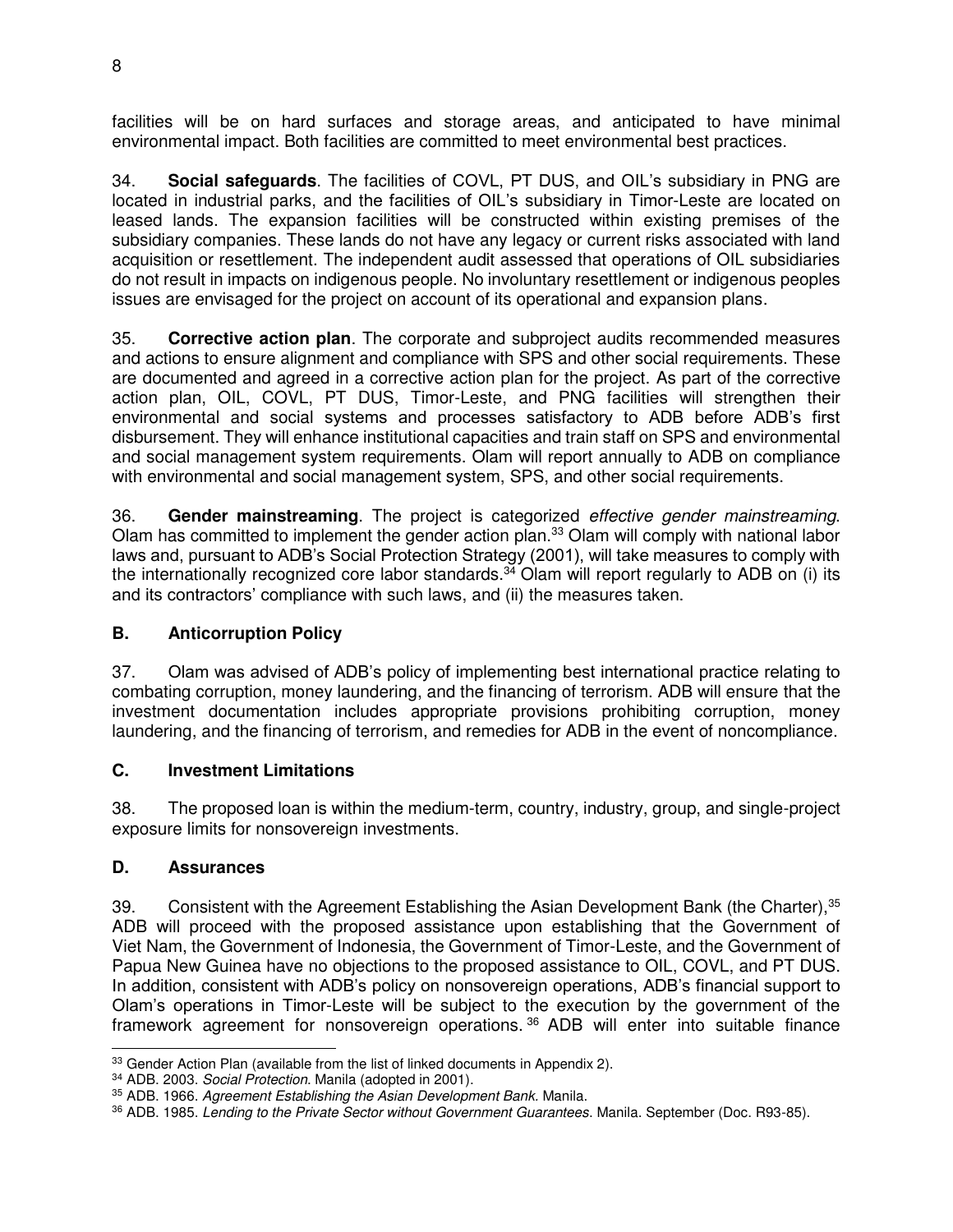facilities will be on hard surfaces and storage areas, and anticipated to have minimal environmental impact. Both facilities are committed to meet environmental best practices.

34. **Social safeguards**. The facilities of COVL, PT DUS, and OIL's subsidiary in PNG are located in industrial parks, and the facilities of OIL's subsidiary in Timor-Leste are located on leased lands. The expansion facilities will be constructed within existing premises of the subsidiary companies. These lands do not have any legacy or current risks associated with land acquisition or resettlement. The independent audit assessed that operations of OIL subsidiaries do not result in impacts on indigenous people. No involuntary resettlement or indigenous peoples issues are envisaged for the project on account of its operational and expansion plans.

35. **Corrective action plan**. The corporate and subproject audits recommended measures and actions to ensure alignment and compliance with SPS and other social requirements. These are documented and agreed in a corrective action plan for the project. As part of the corrective action plan, OIL, COVL, PT DUS, Timor-Leste, and PNG facilities will strengthen their environmental and social systems and processes satisfactory to ADB before ADB's first disbursement. They will enhance institutional capacities and train staff on SPS and environmental and social management system requirements. Olam will report annually to ADB on compliance with environmental and social management system, SPS, and other social requirements.

36. **Gender mainstreaming**. The project is categorized *effective gender mainstreaming*. Olam has committed to implement the gender action plan.<sup>33</sup> Olam will comply with national labor laws and, pursuant to ADB's Social Protection Strategy (2001), will take measures to comply with the internationally recognized core labor standards.<sup>34</sup> Olam will report regularly to ADB on (i) its and its contractors' compliance with such laws, and (ii) the measures taken.

# **B. Anticorruption Policy**

37. Olam was advised of ADB's policy of implementing best international practice relating to combating corruption, money laundering, and the financing of terrorism. ADB will ensure that the investment documentation includes appropriate provisions prohibiting corruption, money laundering, and the financing of terrorism, and remedies for ADB in the event of noncompliance.

# **C. Investment Limitations**

38. The proposed loan is within the medium-term, country, industry, group, and single-project exposure limits for nonsovereign investments.

# **D. Assurances**

39. Consistent with the Agreement Establishing the Asian Development Bank (the Charter), 35 ADB will proceed with the proposed assistance upon establishing that the Government of Viet Nam, the Government of Indonesia, the Government of Timor-Leste, and the Government of Papua New Guinea have no objections to the proposed assistance to OIL, COVL, and PT DUS. In addition, consistent with ADB's policy on nonsovereign operations, ADB's financial support to Olam's operations in Timor-Leste will be subject to the execution by the government of the framework agreement for nonsovereign operations. <sup>36</sup> ADB will enter into suitable finance

 $\overline{a}$ <sup>33</sup> Gender Action Plan (available from the list of linked documents in Appendix 2).

<sup>34</sup> ADB. 2003. *Social Protection*. Manila (adopted in 2001).

<sup>35</sup> ADB. 1966. *Agreement Establishing the Asian Development Bank.* Manila.

<sup>36</sup> ADB. 1985. *Lending to the Private Sector without Government Guarantees*. Manila. September (Doc. R93-85).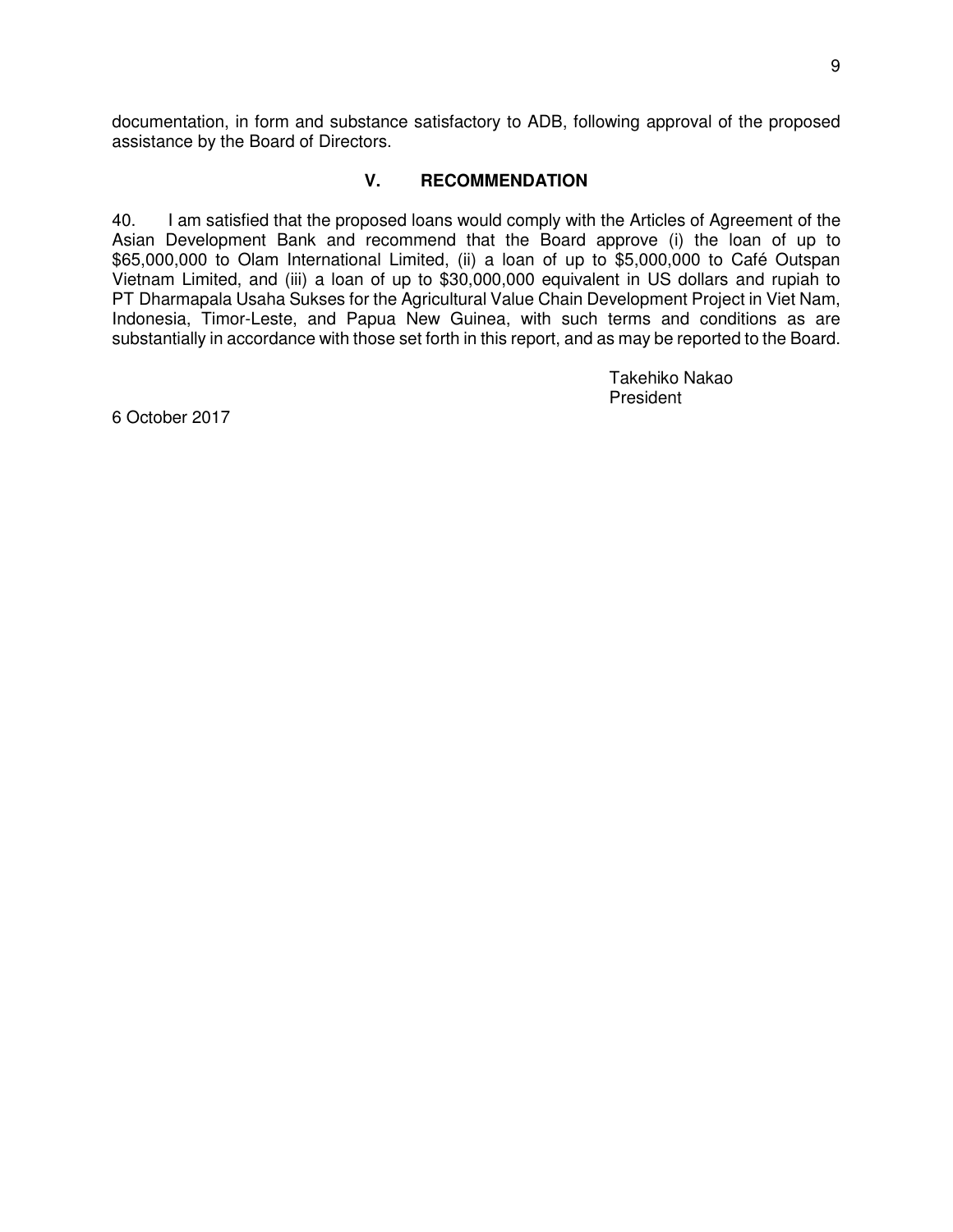documentation, in form and substance satisfactory to ADB, following approval of the proposed assistance by the Board of Directors.

#### **V. RECOMMENDATION**

40. I am satisfied that the proposed loans would comply with the Articles of Agreement of the Asian Development Bank and recommend that the Board approve (i) the loan of up to \$65,000,000 to Olam International Limited, (ii) a loan of up to \$5,000,000 to Café Outspan Vietnam Limited, and (iii) a loan of up to \$30,000,000 equivalent in US dollars and rupiah to PT Dharmapala Usaha Sukses for the Agricultural Value Chain Development Project in Viet Nam, Indonesia, Timor-Leste, and Papua New Guinea, with such terms and conditions as are substantially in accordance with those set forth in this report, and as may be reported to the Board.

> Takehiko Nakao President

6 October 2017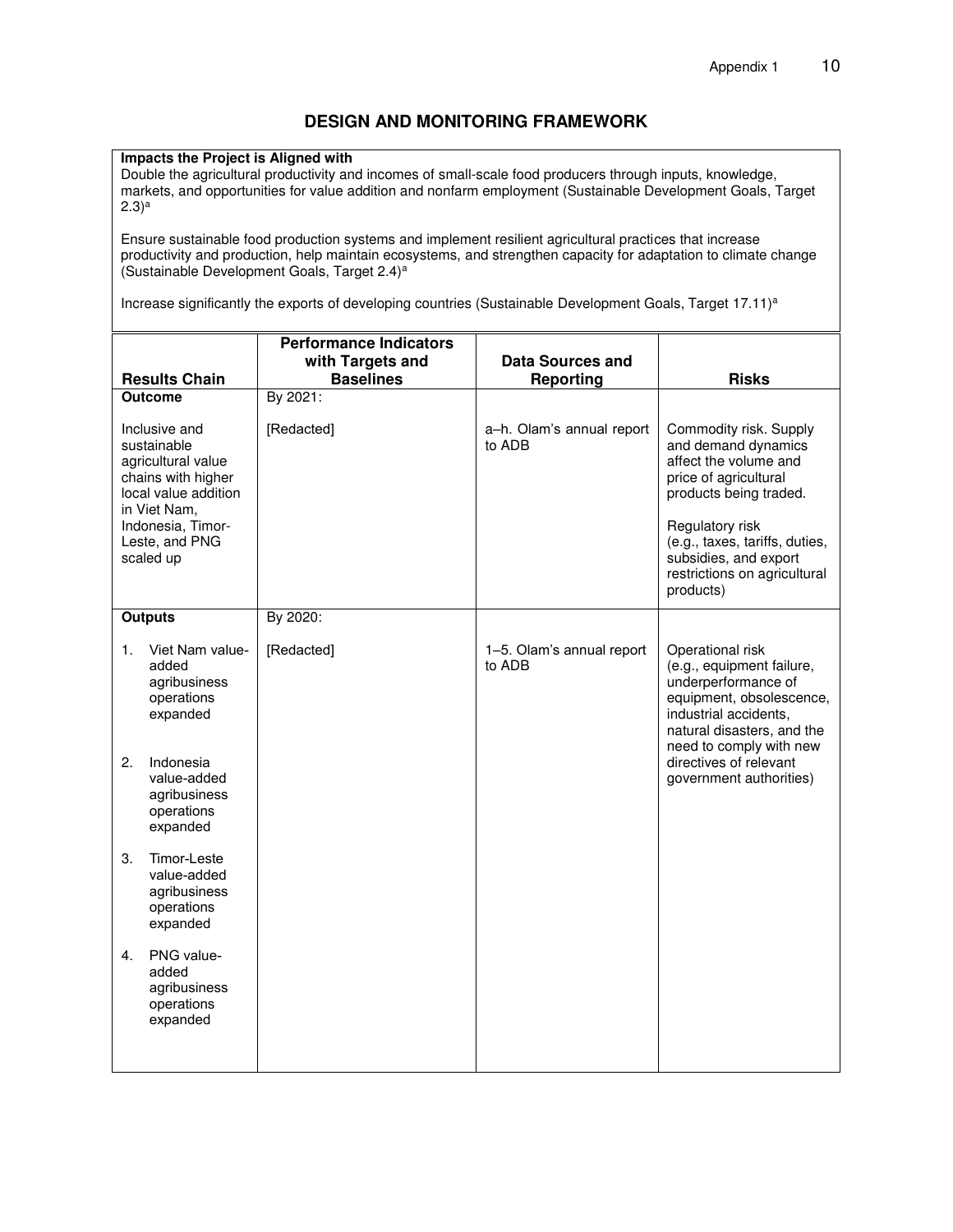#### **DESIGN AND MONITORING FRAMEWORK**

#### **Impacts the Project is Aligned with**

Double the agricultural productivity and incomes of small-scale food producers through inputs, knowledge, markets, and opportunities for value addition and nonfarm employment (Sustainable Development Goals, Target  $(2.3)^a$ 

Ensure sustainable food production systems and implement resilient agricultural practices that increase productivity and production, help maintain ecosystems, and strengthen capacity for adaptation to climate change (Sustainable Development Goals, Target 2.4)<sup>a</sup>

Increase significantly the exports of developing countries (Sustainable Development Goals, Target 17.11)<sup>a</sup>

|                                                                                                  | <b>Results Chain</b>                                                                                                                                                                                             | <b>Performance Indicators</b><br>with Targets and<br><b>Baselines</b> | <b>Data Sources and</b><br><b>Reporting</b> | <b>Risks</b>                                                                                                                                                                                                                            |
|--------------------------------------------------------------------------------------------------|------------------------------------------------------------------------------------------------------------------------------------------------------------------------------------------------------------------|-----------------------------------------------------------------------|---------------------------------------------|-----------------------------------------------------------------------------------------------------------------------------------------------------------------------------------------------------------------------------------------|
| <b>Outcome</b>                                                                                   |                                                                                                                                                                                                                  | By 2021:                                                              |                                             |                                                                                                                                                                                                                                         |
| Inclusive and<br>sustainable<br>agricultural value<br>chains with higher<br>local value addition |                                                                                                                                                                                                                  | [Redacted]                                                            | a-h. Olam's annual report<br>to ADB         | Commodity risk. Supply<br>and demand dynamics<br>affect the volume and<br>price of agricultural<br>products being traded.                                                                                                               |
| in Viet Nam,<br>Indonesia, Timor-<br>Leste, and PNG<br>scaled up                                 |                                                                                                                                                                                                                  |                                                                       |                                             | Regulatory risk<br>(e.g., taxes, tariffs, duties,<br>subsidies, and export<br>restrictions on agricultural<br>products)                                                                                                                 |
|                                                                                                  | <b>Outputs</b>                                                                                                                                                                                                   | By 2020:                                                              |                                             |                                                                                                                                                                                                                                         |
| 1.<br>2.<br>3.                                                                                   | Viet Nam value-<br>added<br>agribusiness<br>operations<br>expanded<br>Indonesia<br>value-added<br>agribusiness<br>operations<br>expanded<br>Timor-Leste<br>value-added<br>agribusiness<br>operations<br>expanded | [Redacted]                                                            | 1-5. Olam's annual report<br>to ADB         | Operational risk<br>(e.g., equipment failure,<br>underperformance of<br>equipment, obsolescence,<br>industrial accidents,<br>natural disasters, and the<br>need to comply with new<br>directives of relevant<br>government authorities) |
| 4.                                                                                               | PNG value-<br>added<br>agribusiness<br>operations<br>expanded                                                                                                                                                    |                                                                       |                                             |                                                                                                                                                                                                                                         |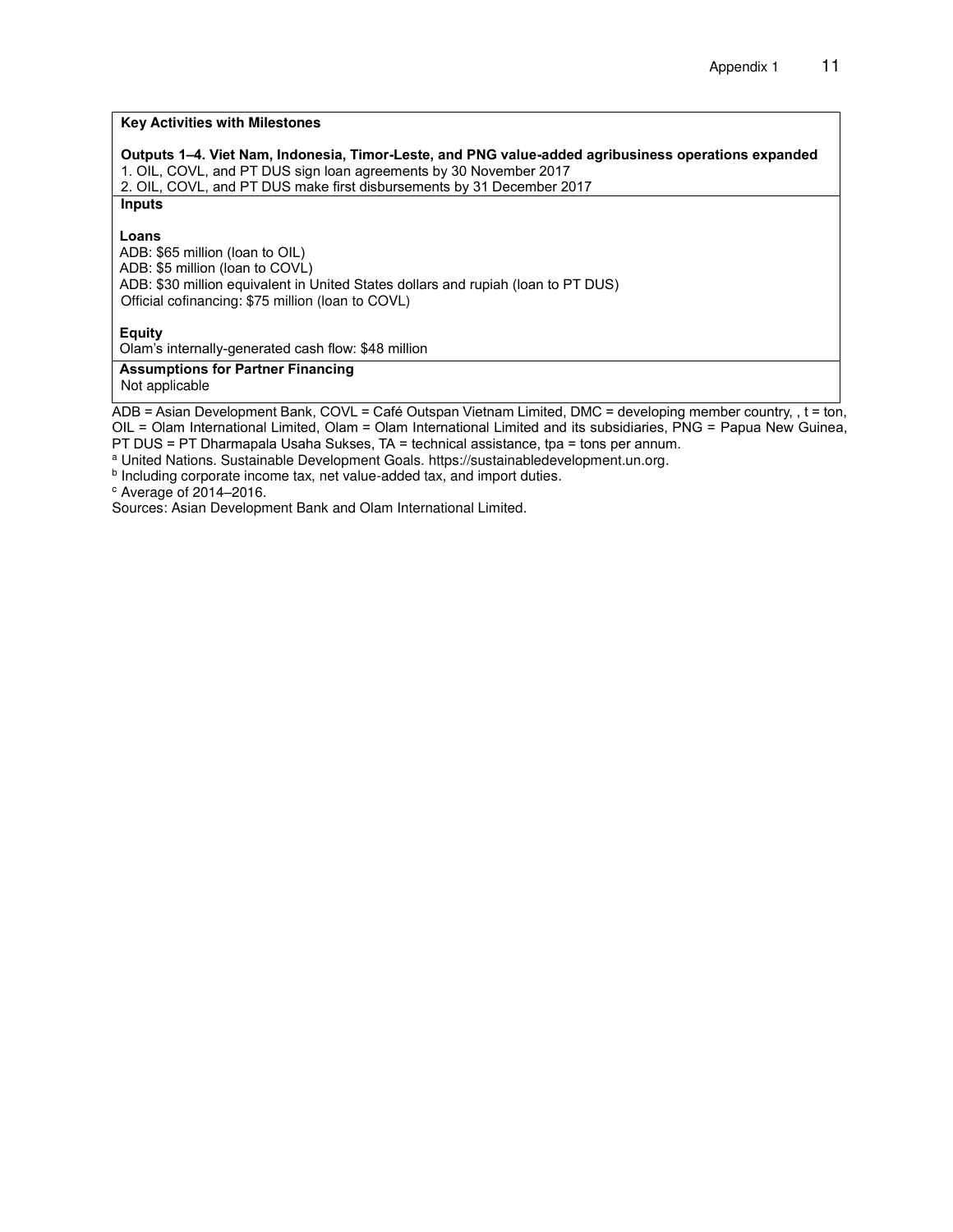#### **Key Activities with Milestones**

**Outputs 1–4. Viet Nam, Indonesia, Timor-Leste, and PNG value-added agribusiness operations expanded** 

1. OIL, COVL, and PT DUS sign loan agreements by 30 November 2017 2. OIL, COVL, and PT DUS make first disbursements by 31 December 2017

**Inputs** 

**Loans** 

ADB: \$65 million (loan to OIL) ADB: \$5 million (loan to COVL) ADB: \$30 million equivalent in United States dollars and rupiah (loan to PT DUS) Official cofinancing: \$75 million (loan to COVL)

**Equity**

Olam's internally-generated cash flow: \$48 million

#### **Assumptions for Partner Financing** Not applicable

ADB = Asian Development Bank, COVL = Café Outspan Vietnam Limited, DMC = developing member country, , t = ton, OIL = Olam International Limited, Olam = Olam International Limited and its subsidiaries, PNG = Papua New Guinea,

PT DUS = PT Dharmapala Usaha Sukses, TA = technical assistance, tpa = tons per annum.

<sup>a</sup> United Nations. Sustainable Development Goals. [https://sustainabledevelopment.un.org.](https://sustainabledevelopment.un.org/)

<sup>b</sup> Including corporate income tax, net value-added tax, and import duties.

<sup>c</sup> Average of 2014–2016.

Sources: Asian Development Bank and Olam International Limited.